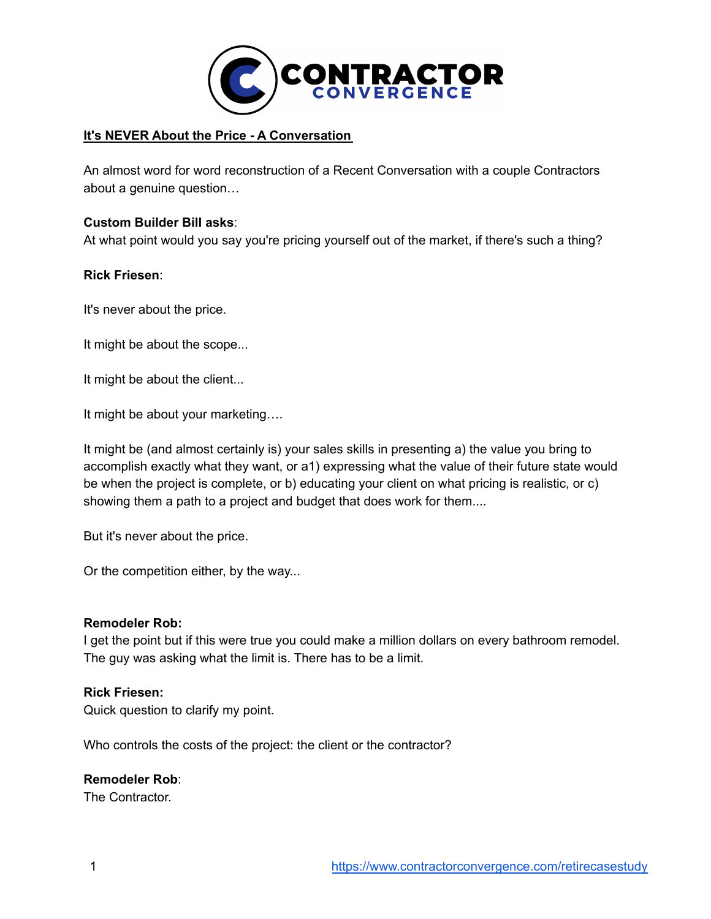

### **It's NEVER About the Price - A Conversation**

An almost word for word reconstruction of a Recent Conversation with a couple Contractors about a genuine question…

#### **Custom Builder Bill asks**:

At what point would you say you're pricing yourself out of the market, if there's such a thing?

#### **Rick Friesen**:

It's never about the price.

It might be about the scope...

It might be about the client...

It might be about your marketing….

It might be (and almost certainly is) your sales skills in presenting a) the value you bring to accomplish exactly what they want, or a1) expressing what the value of their future state would be when the project is complete, or b) educating your client on what pricing is realistic, or c) showing them a path to a project and budget that does work for them....

But it's never about the price.

Or the competition either, by the way...

#### **Remodeler Rob:**

I get the point but if this were true you could make a million dollars on every bathroom remodel. The guy was asking what the limit is. There has to be a limit.

#### **Rick Friesen:**

Quick question to clarify my point.

Who controls the costs of the project: the client or the contractor?

### **Remodeler Rob**:

The Contractor.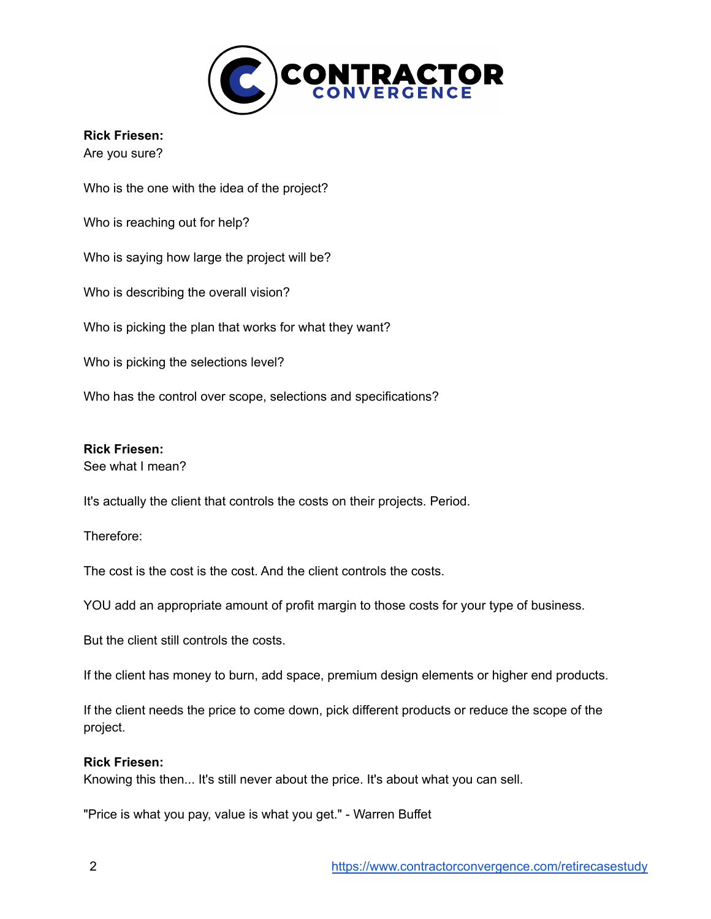

#### **Rick Friesen:**

Are you sure?

Who is the one with the idea of the project? Who is reaching out for help? Who is saying how large the project will be? Who is describing the overall vision?

Who is picking the plan that works for what they want?

Who is picking the selections level?

Who has the control over scope, selections and specifications?

### **Rick Friesen:**

See what I mean?

It's actually the client that controls the costs on their projects. Period.

Therefore:

The cost is the cost is the cost. And the client controls the costs.

YOU add an appropriate amount of profit margin to those costs for your type of business.

But the client still controls the costs.

If the client has money to burn, add space, premium design elements or higher end products.

If the client needs the price to come down, pick different products or reduce the scope of the project.

#### **Rick Friesen:**

Knowing this then... It's still never about the price. It's about what you can sell.

"Price is what you pay, value is what you get." - Warren Buffet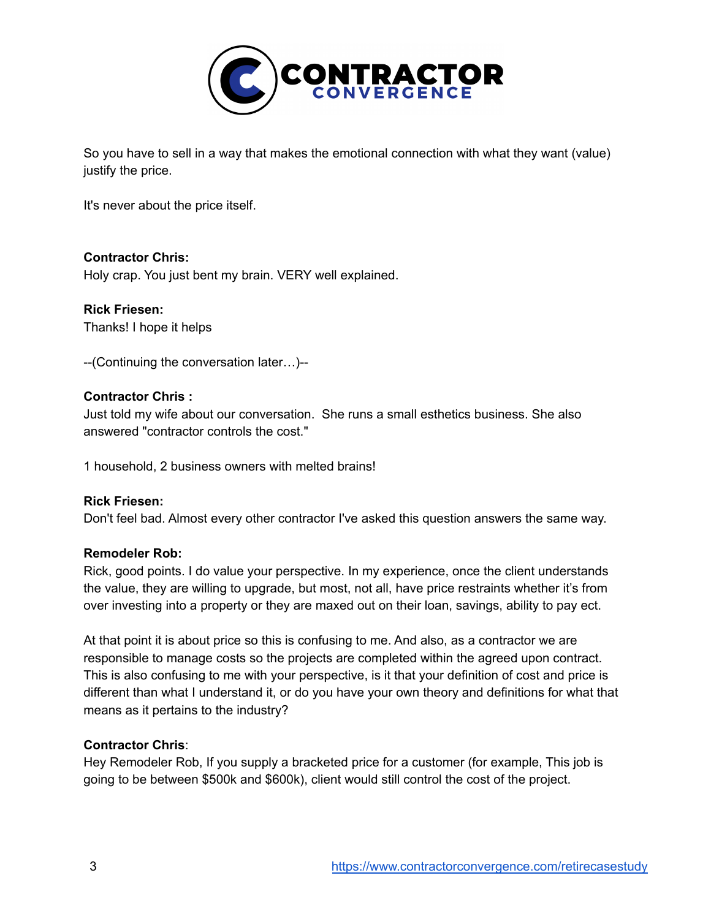

So you have to sell in a way that makes the emotional connection with what they want (value) justify the price.

It's never about the price itself.

### **Contractor Chris:**

Holy crap. You just bent my brain. VERY well explained.

**Rick Friesen:** Thanks! I hope it helps

--(Continuing the conversation later…)--

### **Contractor Chris :**

Just told my wife about our conversation. She runs a small esthetics business. She also answered "contractor controls the cost."

1 household, 2 business owners with melted brains!

### **Rick Friesen:**

Don't feel bad. Almost every other contractor I've asked this question answers the same way.

### **Remodeler Rob:**

Rick, good points. I do value your perspective. In my experience, once the client understands the value, they are willing to upgrade, but most, not all, have price restraints whether it's from over investing into a property or they are maxed out on their loan, savings, ability to pay ect.

At that point it is about price so this is confusing to me. And also, as a contractor we are responsible to manage costs so the projects are completed within the agreed upon contract. This is also confusing to me with your perspective, is it that your definition of cost and price is different than what I understand it, or do you have your own theory and definitions for what that means as it pertains to the industry?

### **Contractor Chris**:

Hey Remodeler Rob, If you supply a bracketed price for a customer (for example, This job is going to be between \$500k and \$600k), client would still control the cost of the project.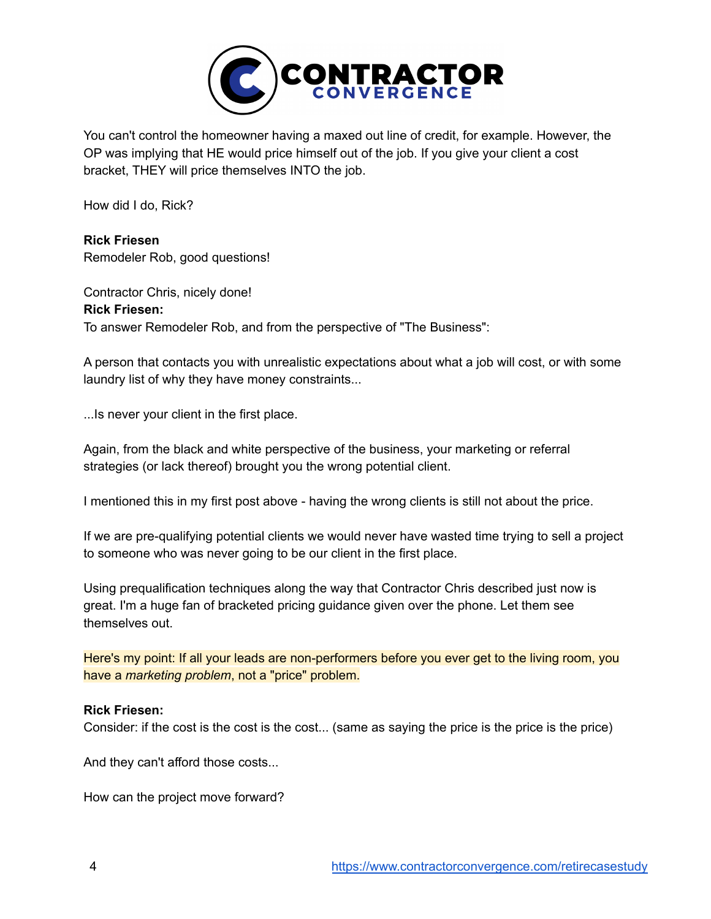

You can't control the homeowner having a maxed out line of credit, for example. However, the OP was implying that HE would price himself out of the job. If you give your client a cost bracket, THEY will price themselves INTO the job.

How did I do, Rick?

**Rick Friesen** Remodeler Rob, good questions!

Contractor Chris, nicely done! **Rick Friesen:** To answer Remodeler Rob, and from the perspective of "The Business":

A person that contacts you with unrealistic expectations about what a job will cost, or with some laundry list of why they have money constraints...

...Is never your client in the first place.

Again, from the black and white perspective of the business, your marketing or referral strategies (or lack thereof) brought you the wrong potential client.

I mentioned this in my first post above - having the wrong clients is still not about the price.

If we are pre-qualifying potential clients we would never have wasted time trying to sell a project to someone who was never going to be our client in the first place.

Using prequalification techniques along the way that Contractor Chris described just now is great. I'm a huge fan of bracketed pricing guidance given over the phone. Let them see themselves out.

Here's my point: If all your leads are non-performers before you ever get to the living room, you have a *marketing problem*, not a "price" problem.

### **Rick Friesen:**

Consider: if the cost is the cost is the cost... (same as saying the price is the price is the price)

And they can't afford those costs...

How can the project move forward?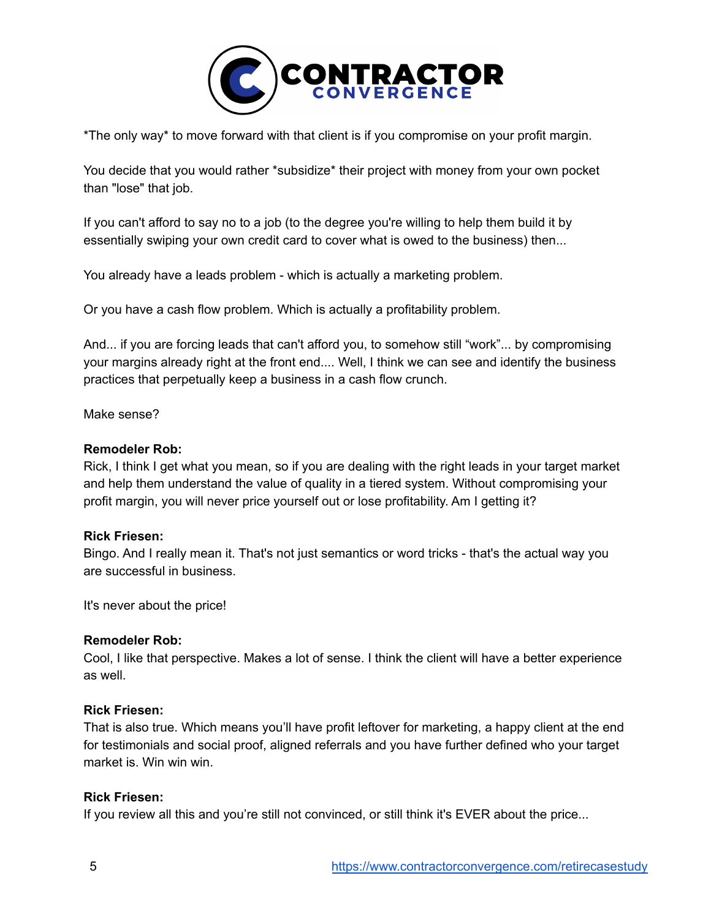

\*The only way\* to move forward with that client is if you compromise on your profit margin.

You decide that you would rather \*subsidize\* their project with money from your own pocket than "lose" that job.

If you can't afford to say no to a job (to the degree you're willing to help them build it by essentially swiping your own credit card to cover what is owed to the business) then...

You already have a leads problem - which is actually a marketing problem.

Or you have a cash flow problem. Which is actually a profitability problem.

And... if you are forcing leads that can't afford you, to somehow still "work"... by compromising your margins already right at the front end.... Well, I think we can see and identify the business practices that perpetually keep a business in a cash flow crunch.

Make sense?

### **Remodeler Rob:**

Rick, I think I get what you mean, so if you are dealing with the right leads in your target market and help them understand the value of quality in a tiered system. Without compromising your profit margin, you will never price yourself out or lose profitability. Am I getting it?

### **Rick Friesen:**

Bingo. And I really mean it. That's not just semantics or word tricks - that's the actual way you are successful in business.

It's never about the price!

### **Remodeler Rob:**

Cool, I like that perspective. Makes a lot of sense. I think the client will have a better experience as well.

#### **Rick Friesen:**

That is also true. Which means you'll have profit leftover for marketing, a happy client at the end for testimonials and social proof, aligned referrals and you have further defined who your target market is. Win win win.

### **Rick Friesen:**

If you review all this and you're still not convinced, or still think it's EVER about the price...